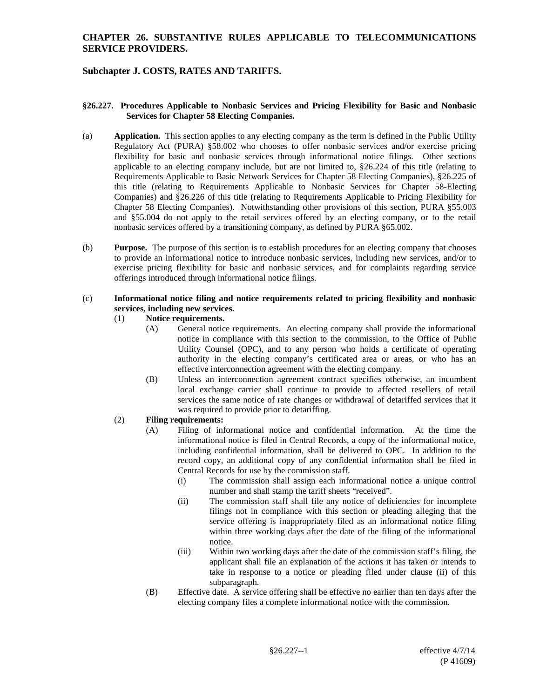## **Subchapter J. COSTS, RATES AND TARIFFS.**

#### **§26.227. Procedures Applicable to Nonbasic Services and Pricing Flexibility for Basic and Nonbasic Services for Chapter 58 Electing Companies.**

- (a) **Application.** This section applies to any electing company as the term is defined in the Public Utility Regulatory Act (PURA) §58.002 who chooses to offer nonbasic services and/or exercise pricing flexibility for basic and nonbasic services through informational notice filings. Other sections applicable to an electing company include, but are not limited to, §26.224 of this title (relating to Requirements Applicable to Basic Network Services for Chapter 58 Electing Companies), §26.225 of this title (relating to Requirements Applicable to Nonbasic Services for Chapter 58-Electing Companies) and §26.226 of this title (relating to Requirements Applicable to Pricing Flexibility for Chapter 58 Electing Companies). Notwithstanding other provisions of this section, PURA §55.003 and §55.004 do not apply to the retail services offered by an electing company, or to the retail nonbasic services offered by a transitioning company, as defined by PURA §65.002.
- (b) **Purpose.** The purpose of this section is to establish procedures for an electing company that chooses to provide an informational notice to introduce nonbasic services, including new services, and/or to exercise pricing flexibility for basic and nonbasic services, and for complaints regarding service offerings introduced through informational notice filings.

#### (c) **Informational notice filing and notice requirements related to pricing flexibility and nonbasic services, including new services.**

#### (1) **Notice requirements.**

- (A) General notice requirements. An electing company shall provide the informational notice in compliance with this section to the commission, to the Office of Public Utility Counsel (OPC), and to any person who holds a certificate of operating authority in the electing company's certificated area or areas, or who has an effective interconnection agreement with the electing company.
- (B) Unless an interconnection agreement contract specifies otherwise, an incumbent local exchange carrier shall continue to provide to affected resellers of retail services the same notice of rate changes or withdrawal of detariffed services that it was required to provide prior to detariffing.

# (2) **Filing requirements:**

- (A) Filing of informational notice and confidential information. At the time the informational notice is filed in Central Records, a copy of the informational notice, including confidential information, shall be delivered to OPC. In addition to the record copy, an additional copy of any confidential information shall be filed in Central Records for use by the commission staff.
	- (i) The commission shall assign each informational notice a unique control number and shall stamp the tariff sheets "received".
	- (ii) The commission staff shall file any notice of deficiencies for incomplete filings not in compliance with this section or pleading alleging that the service offering is inappropriately filed as an informational notice filing within three working days after the date of the filing of the informational notice.
	- (iii) Within two working days after the date of the commission staff's filing, the applicant shall file an explanation of the actions it has taken or intends to take in response to a notice or pleading filed under clause (ii) of this subparagraph.
- (B) Effective date. A service offering shall be effective no earlier than ten days after the electing company files a complete informational notice with the commission.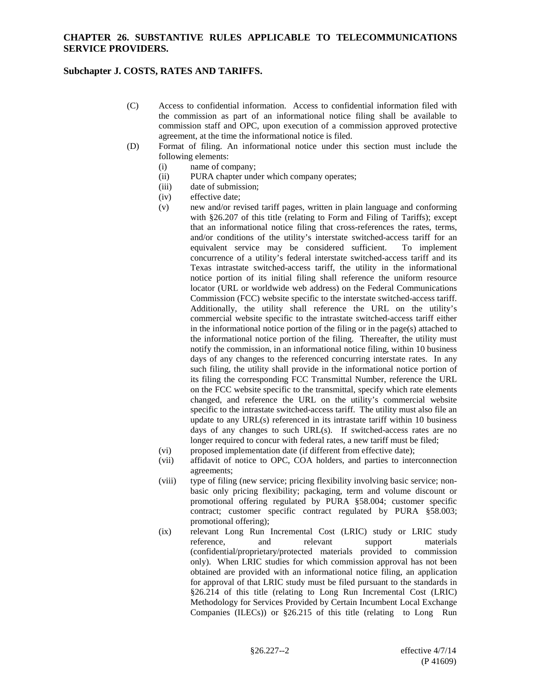## **Subchapter J. COSTS, RATES AND TARIFFS.**

- (C) Access to confidential information. Access to confidential information filed with the commission as part of an informational notice filing shall be available to commission staff and OPC, upon execution of a commission approved protective agreement, at the time the informational notice is filed.
- (D) Format of filing. An informational notice under this section must include the following elements:
	- (i) name of company;
	- (ii) PURA chapter under which company operates;
	- (iii) date of submission;
	- (iv) effective date;
	- (v) new and/or revised tariff pages, written in plain language and conforming with §26.207 of this title (relating to Form and Filing of Tariffs); except that an informational notice filing that cross-references the rates, terms, and/or conditions of the utility's interstate switched-access tariff for an equivalent service may be considered sufficient. To implement concurrence of a utility's federal interstate switched-access tariff and its Texas intrastate switched-access tariff, the utility in the informational notice portion of its initial filing shall reference the uniform resource locator (URL or worldwide web address) on the Federal Communications Commission (FCC) website specific to the interstate switched-access tariff. Additionally, the utility shall reference the URL on the utility's commercial website specific to the intrastate switched-access tariff either in the informational notice portion of the filing or in the page(s) attached to the informational notice portion of the filing. Thereafter, the utility must notify the commission, in an informational notice filing, within 10 business days of any changes to the referenced concurring interstate rates. In any such filing, the utility shall provide in the informational notice portion of its filing the corresponding FCC Transmittal Number, reference the URL on the FCC website specific to the transmittal, specify which rate elements changed, and reference the URL on the utility's commercial website specific to the intrastate switched-access tariff. The utility must also file an update to any URL(s) referenced in its intrastate tariff within 10 business days of any changes to such URL(s). If switched-access rates are no longer required to concur with federal rates, a new tariff must be filed;
	- (vi) proposed implementation date (if different from effective date);
	- (vii) affidavit of notice to OPC, COA holders, and parties to interconnection agreements;
	- (viii) type of filing (new service; pricing flexibility involving basic service; nonbasic only pricing flexibility; packaging, term and volume discount or promotional offering regulated by PURA §58.004; customer specific contract; customer specific contract regulated by PURA §58.003; promotional offering);
	- (ix) relevant Long Run Incremental Cost (LRIC) study or LRIC study reference, and relevant support materials (confidential/proprietary/protected materials provided to commission only). When LRIC studies for which commission approval has not been obtained are provided with an informational notice filing, an application for approval of that LRIC study must be filed pursuant to the standards in §26.214 of this title (relating to Long Run Incremental Cost (LRIC) Methodology for Services Provided by Certain Incumbent Local Exchange Companies (ILECs)) or §26.215 of this title (relating to Long Run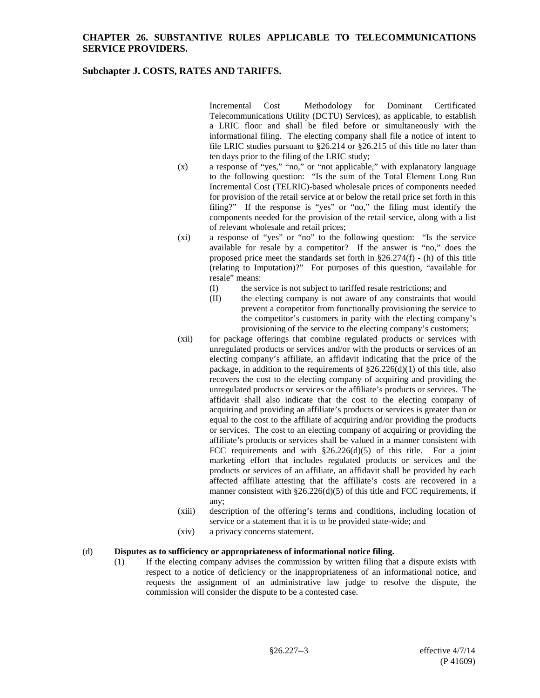### **Subchapter J. COSTS, RATES AND TARIFFS.**

Incremental Cost Methodology for Dominant Certificated Telecommunications Utility (DCTU) Services), as applicable, to establish a LRIC floor and shall be filed before or simultaneously with the informational filing. The electing company shall file a notice of intent to file LRIC studies pursuant to §26.214 or §26.215 of this title no later than ten days prior to the filing of the LRIC study;

- (x) a response of "yes," "no," or "not applicable," with explanatory language to the following question: "Is the sum of the Total Element Long Run Incremental Cost (TELRIC)-based wholesale prices of components needed for provision of the retail service at or below the retail price set forth in this filing?" If the response is "yes" or "no," the filing must identify the components needed for the provision of the retail service, along with a list of relevant wholesale and retail prices;
- (xi) a response of "yes" or "no" to the following question: "Is the service available for resale by a competitor? If the answer is "no," does the proposed price meet the standards set forth in §26.274(f) - (h) of this title (relating to Imputation)?" For purposes of this question, "available for resale" means:
	- (I) the service is not subject to tariffed resale restrictions; and
	- (II) the electing company is not aware of any constraints that would prevent a competitor from functionally provisioning the service to the competitor's customers in parity with the electing company's provisioning of the service to the electing company's customers;
- (xii) for package offerings that combine regulated products or services with unregulated products or services and/or with the products or services of an electing company's affiliate, an affidavit indicating that the price of the package, in addition to the requirements of  $\S26.226(d)(1)$  of this title, also recovers the cost to the electing company of acquiring and providing the unregulated products or services or the affiliate's products or services. The affidavit shall also indicate that the cost to the electing company of acquiring and providing an affiliate's products or services is greater than or equal to the cost to the affiliate of acquiring and/or providing the products or services. The cost to an electing company of acquiring or providing the affiliate's products or services shall be valued in a manner consistent with FCC requirements and with  $\S26.226(d)(5)$  of this title. For a joint marketing effort that includes regulated products or services and the products or services of an affiliate, an affidavit shall be provided by each affected affiliate attesting that the affiliate's costs are recovered in a manner consistent with  $\S26.226(d)(5)$  of this title and FCC requirements, if any;
- (xiii) description of the offering's terms and conditions, including location of service or a statement that it is to be provided state-wide; and
- (xiv) a privacy concerns statement.

### (d) **Disputes as to sufficiency or appropriateness of informational notice filing.**

(1) If the electing company advises the commission by written filing that a dispute exists with respect to a notice of deficiency or the inappropriateness of an informational notice, and requests the assignment of an administrative law judge to resolve the dispute, the commission will consider the dispute to be a contested case.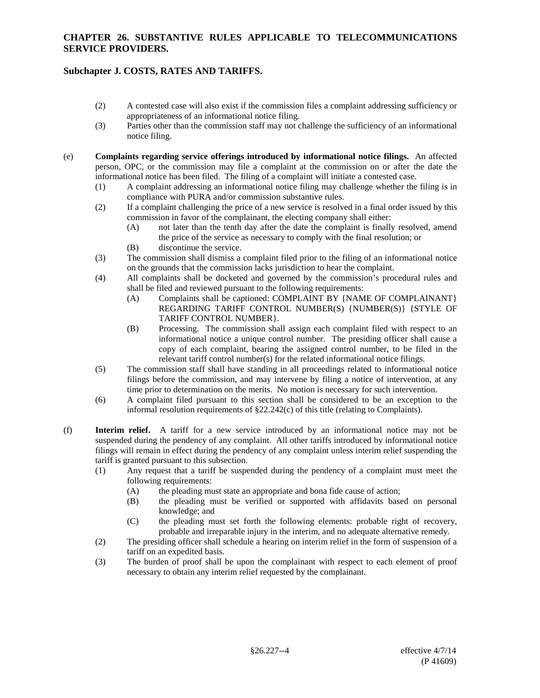## **Subchapter J. COSTS, RATES AND TARIFFS.**

- (2) A contested case will also exist if the commission files a complaint addressing sufficiency or appropriateness of an informational notice filing.
- (3) Parties other than the commission staff may not challenge the sufficiency of an informational notice filing.
- (e) **Complaints regarding service offerings introduced by informational notice filings.** An affected person, OPC, or the commission may file a complaint at the commission on or after the date the informational notice has been filed. The filing of a complaint will initiate a contested case.
	- (1) A complaint addressing an informational notice filing may challenge whether the filing is in compliance with PURA and/or commission substantive rules.
	- (2) If a complaint challenging the price of a new service is resolved in a final order issued by this commission in favor of the complainant, the electing company shall either:
		- (A) not later than the tenth day after the date the complaint is finally resolved, amend the price of the service as necessary to comply with the final resolution; or
		- (B) discontinue the service.
	- (3) The commission shall dismiss a complaint filed prior to the filing of an informational notice on the grounds that the commission lacks jurisdiction to hear the complaint.
	- (4) All complaints shall be docketed and governed by the commission's procedural rules and shall be filed and reviewed pursuant to the following requirements:
		- (A) Complaints shall be captioned: COMPLAINT BY {NAME OF COMPLAINANT} REGARDING TARIFF CONTROL NUMBER(S) {NUMBER(S)} {STYLE OF TARIFF CONTROL NUMBER}.
		- (B) Processing. The commission shall assign each complaint filed with respect to an informational notice a unique control number. The presiding officer shall cause a copy of each complaint, bearing the assigned control number, to be filed in the relevant tariff control number(s) for the related informational notice filings.
	- (5) The commission staff shall have standing in all proceedings related to informational notice filings before the commission, and may intervene by filing a notice of intervention, at any time prior to determination on the merits. No motion is necessary for such intervention.
	- (6) A complaint filed pursuant to this section shall be considered to be an exception to the informal resolution requirements of  $\S22.242(c)$  of this title (relating to Complaints).
- (f) **Interim relief.** A tariff for a new service introduced by an informational notice may not be suspended during the pendency of any complaint. All other tariffs introduced by informational notice filings will remain in effect during the pendency of any complaint unless interim relief suspending the tariff is granted pursuant to this subsection.
	- (1) Any request that a tariff be suspended during the pendency of a complaint must meet the following requirements:
		- (A) the pleading must state an appropriate and bona fide cause of action;
		- (B) the pleading must be verified or supported with affidavits based on personal knowledge; and
		- (C) the pleading must set forth the following elements: probable right of recovery, probable and irreparable injury in the interim, and no adequate alternative remedy.
	- (2) The presiding officer shall schedule a hearing on interim relief in the form of suspension of a tariff on an expedited basis.
	- (3) The burden of proof shall be upon the complainant with respect to each element of proof necessary to obtain any interim relief requested by the complainant.